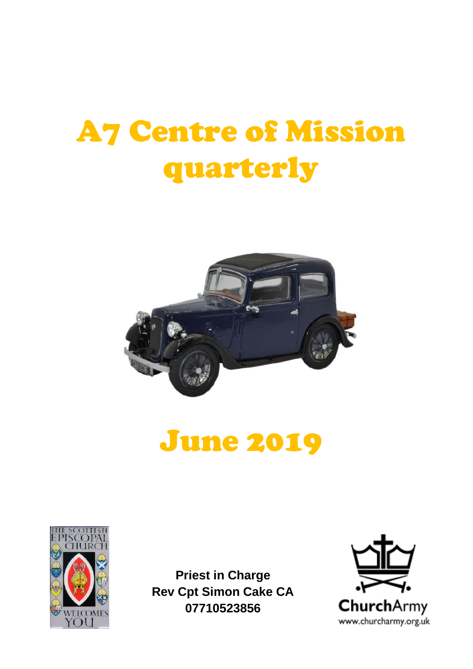# A7 Centre of Mission quarterly



## June 2019



**Priest in Charge Rev Cpt Simon Cake CA 07710523856**

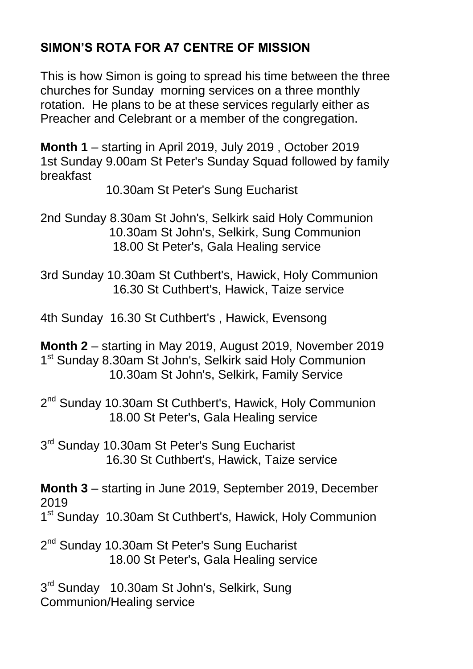#### **SIMON'S ROTA FOR A7 CENTRE OF MISSION**

This is how Simon is going to spread his time between the three churches for Sunday morning services on a three monthly rotation. He plans to be at these services regularly either as Preacher and Celebrant or a member of the congregation.

**Month 1** – starting in April 2019, July 2019 , October 2019 1st Sunday 9.00am St Peter's Sunday Squad followed by family breakfast

10.30am St Peter's Sung Eucharist

2nd Sunday 8.30am St John's, Selkirk said Holy Communion 10.30am St John's, Selkirk, Sung Communion 18.00 St Peter's, Gala Healing service

3rd Sunday 10.30am St Cuthbert's, Hawick, Holy Communion 16.30 St Cuthbert's, Hawick, Taize service

4th Sunday 16.30 St Cuthbert's , Hawick, Evensong

**Month 2** – starting in May 2019, August 2019, November 2019 1<sup>st</sup> Sunday 8.30am St John's, Selkirk said Holy Communion 10.30am St John's, Selkirk, Family Service

2<sup>nd</sup> Sunday 10.30am St Cuthbert's, Hawick, Holy Communion 18.00 St Peter's, Gala Healing service

3<sup>rd</sup> Sunday 10.30am St Peter's Sung Eucharist 16.30 St Cuthbert's, Hawick, Taize service

**Month 3** – starting in June 2019, September 2019, December 2019

1<sup>st</sup> Sunday 10.30am St Cuthbert's, Hawick, Holy Communion

2<sup>nd</sup> Sunday 10.30am St Peter's Sung Eucharist 18.00 St Peter's, Gala Healing service

3<sup>rd</sup> Sunday 10.30am St John's, Selkirk, Sung Communion/Healing service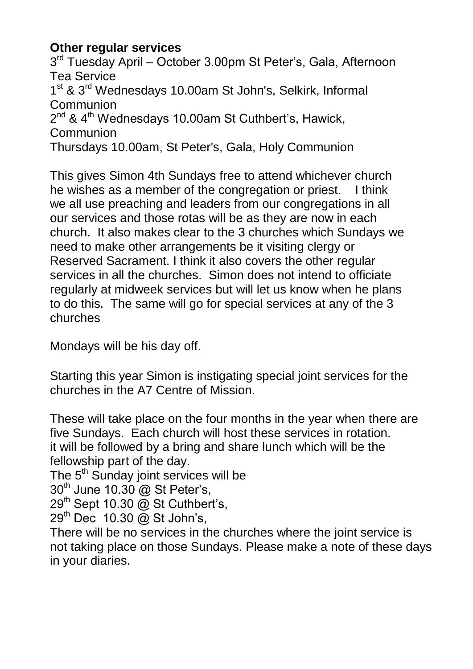#### **Other regular services**

3<sup>rd</sup> Tuesday April – October 3.00pm St Peter's, Gala, Afternoon Tea Service 1<sup>st</sup> & 3<sup>rd</sup> Wednesdays 10.00am St John's, Selkirk, Informal **Communion** 2<sup>nd</sup> & 4<sup>th</sup> Wednesdays 10.00am St Cuthbert's, Hawick, Communion Thursdays 10.00am, St Peter's, Gala, Holy Communion

This gives Simon 4th Sundays free to attend whichever church he wishes as a member of the congregation or priest. I think we all use preaching and leaders from our congregations in all our services and those rotas will be as they are now in each church. It also makes clear to the 3 churches which Sundays we need to make other arrangements be it visiting clergy or Reserved Sacrament. I think it also covers the other regular services in all the churches. Simon does not intend to officiate regularly at midweek services but will let us know when he plans to do this. The same will go for special services at any of the 3 churches

Mondays will be his day off.

Starting this year Simon is instigating special joint services for the churches in the A7 Centre of Mission.

These will take place on the four months in the year when there are five Sundays. Each church will host these services in rotation. it will be followed by a bring and share lunch which will be the fellowship part of the day.

The 5<sup>th</sup> Sunday joint services will be

 $30<sup>th</sup>$  June 10.30  $\textcircled{a}$  St Peter's.

29<sup>th</sup> Sept 10.30 @ St Cuthbert's,

29<sup>th</sup> Dec 10.30 @ St John's,

There will be no services in the churches where the joint service is not taking place on those Sundays. Please make a note of these days in your diaries.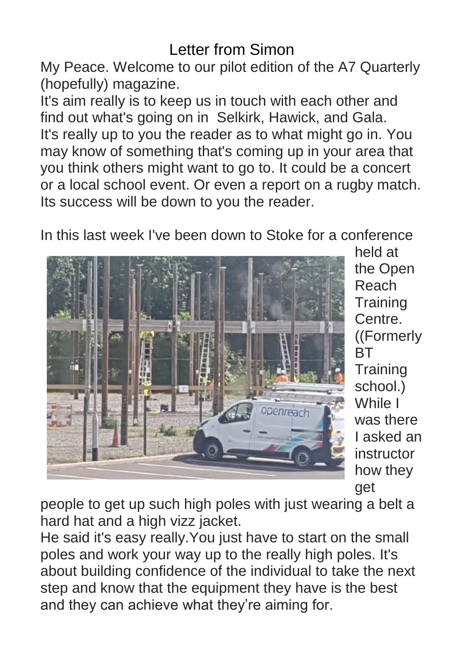## Letter from Simon

My Peace. Welcome to our pilot edition of the A7 Quarterly (hopefully) magazine.

It's aim really is to keep us in touch with each other and find out what's going on in Selkirk, Hawick, and Gala. It's really up to you the reader as to what might go in. You may know of something that's coming up in your area that you think others might want to go to. It could be a concert or a local school event. Or even a report on a rugby match. Its success will be down to you the reader.

In this last week I've been down to Stoke for a conference



held at the Open Reach **Training** Centre. ((Formerly **BT Training** school.) While I was there I asked an instructor how they get

people to get up such high poles with just wearing a belt a hard hat and a high vizz jacket.

He said it's easy really.You just have to start on the small poles and work your way up to the really high poles. It's about building confidence of the individual to take the next step and know that the equipment they have is the best and they can achieve what they're aiming for.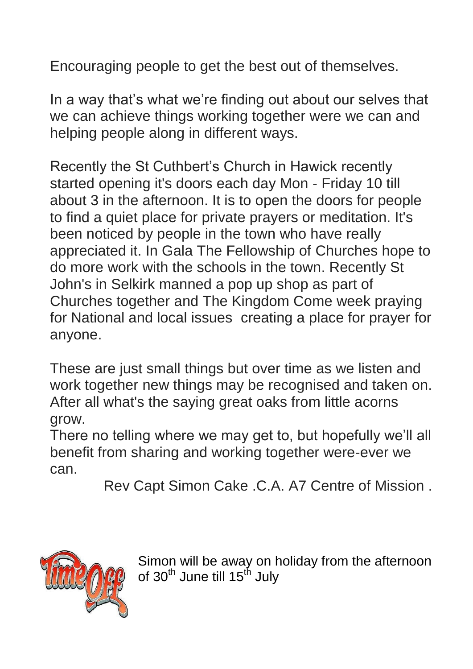Encouraging people to get the best out of themselves.

In a way that's what we're finding out about our selves that we can achieve things working together were we can and helping people along in different ways.

Recently the St Cuthbert's Church in Hawick recently started opening it's doors each day Mon - Friday 10 till about 3 in the afternoon. It is to open the doors for people to find a quiet place for private prayers or meditation. It's been noticed by people in the town who have really appreciated it. In Gala The Fellowship of Churches hope to do more work with the schools in the town. Recently St John's in Selkirk manned a pop up shop as part of Churches together and The Kingdom Come week praying for National and local issues creating a place for prayer for anyone.

These are just small things but over time as we listen and work together new things may be recognised and taken on. After all what's the saying great oaks from little acorns grow.

There no telling where we may get to, but hopefully we'll all benefit from sharing and working together were-ever we can.

Rev Capt Simon Cake .C.A. A7 Centre of Mission .



Simon will be away on holiday from the afternoon of 30<sup>th</sup> June till 15<sup>th</sup> July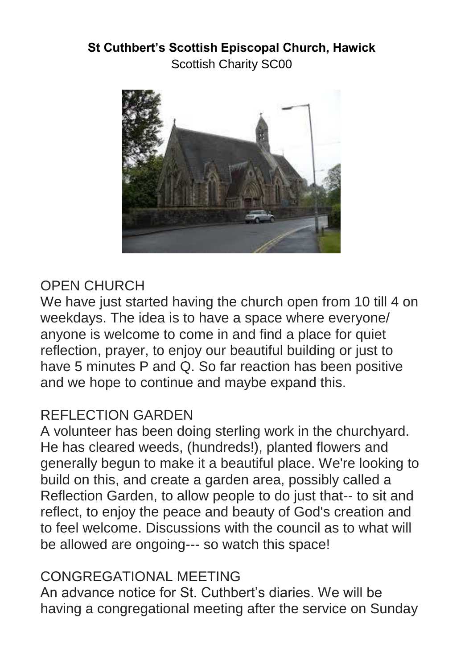## **St Cuthbert's Scottish Episcopal Church, Hawick** Scottish Charity SC00



## OPEN CHURCH

We have just started having the church open from 10 till 4 on weekdays. The idea is to have a space where everyone/ anyone is welcome to come in and find a place for quiet reflection, prayer, to enjoy our beautiful building or just to have 5 minutes P and Q. So far reaction has been positive and we hope to continue and maybe expand this.

## REFLECTION GARDEN

A volunteer has been doing sterling work in the churchyard. He has cleared weeds, (hundreds!), planted flowers and generally begun to make it a beautiful place. We're looking to build on this, and create a garden area, possibly called a Reflection Garden, to allow people to do just that-- to sit and reflect, to enjoy the peace and beauty of God's creation and to feel welcome. Discussions with the council as to what will be allowed are ongoing--- so watch this space!

## CONGREGATIONAL MEETING

An advance notice for St. Cuthbert's diaries. We will be having a congregational meeting after the service on Sunday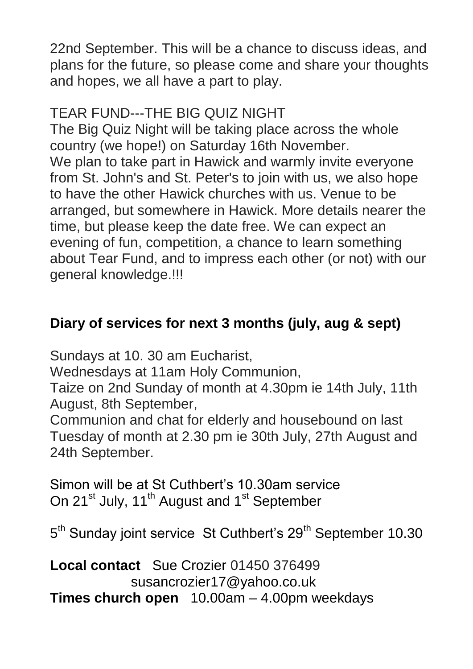22nd September. This will be a chance to discuss ideas, and plans for the future, so please come and share your thoughts and hopes, we all have a part to play.

## TEAR FUND---THE BIG QUIZ NIGHT

The Big Quiz Night will be taking place across the whole country (we hope!) on Saturday 16th November. We plan to take part in Hawick and warmly invite everyone from St. John's and St. Peter's to join with us, we also hope to have the other Hawick churches with us. Venue to be arranged, but somewhere in Hawick. More details nearer the time, but please keep the date free. We can expect an evening of fun, competition, a chance to learn something about Tear Fund, and to impress each other (or not) with our general knowledge.!!!

## **Diary of services for next 3 months (july, aug & sept)**

Sundays at 10. 30 am Eucharist,

Wednesdays at 11am Holy Communion,

Taize on 2nd Sunday of month at 4.30pm ie 14th July, 11th August, 8th September,

Communion and chat for elderly and housebound on last Tuesday of month at 2.30 pm ie 30th July, 27th August and 24th September.

Simon will be at St Cuthbert's 10.30am service On 21<sup>st</sup> July, 11<sup>th</sup> August and 1<sup>st</sup> September

5<sup>th</sup> Sunday joint service St Cuthbert's 29<sup>th</sup> September 10.30

**Local contact** Sue Crozier 01450 376499 susancrozier17@yahoo.co.uk **Times church open** 10.00am – 4.00pm weekdays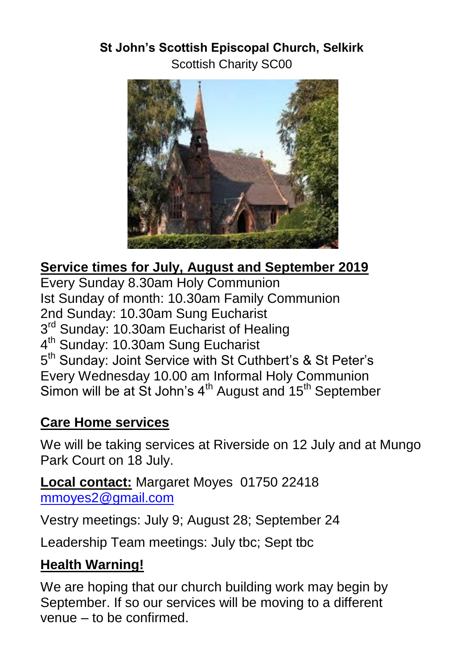## **St John's Scottish Episcopal Church, Selkirk** Scottish Charity SC00



## **Service times for July, August and September 2019**

Every Sunday 8.30am Holy Communion Ist Sunday of month: 10.30am Family Communion 2nd Sunday: 10.30am Sung Eucharist 3<sup>rd</sup> Sunday: 10.30am Eucharist of Healing 4<sup>th</sup> Sunday: 10.30am Sung Eucharist 5<sup>th</sup> Sunday: Joint Service with St Cuthbert's & St Peter's Every Wednesday 10.00 am Informal Holy Communion Simon will be at St John's  $4<sup>th</sup>$  August and  $15<sup>th</sup>$  September

## **Care Home services**

We will be taking services at Riverside on 12 July and at Mungo Park Court on 18 July.

**Local contact:** Margaret Moyes 01750 22418 [mmoyes2@gmail.com](mailto:mmoyes2@gmail.com)

Vestry meetings: July 9; August 28; September 24

Leadership Team meetings: July tbc; Sept tbc

## **Health Warning!**

We are hoping that our church building work may begin by September. If so our services will be moving to a different venue – to be confirmed.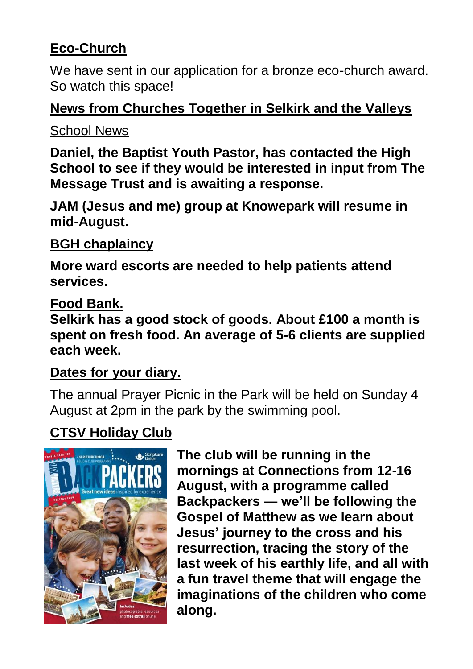## **Eco-Church**

We have sent in our application for a bronze eco-church award. So watch this space!

## **News from Churches Together in Selkirk and the Valleys**

## School News

**Daniel, the Baptist Youth Pastor, has contacted the High School to see if they would be interested in input from The Message Trust and is awaiting a response.**

**JAM (Jesus and me) group at Knowepark will resume in mid-August.** 

## **BGH chaplaincy**

**More ward escorts are needed to help patients attend services.**

## **Food Bank.**

**Selkirk has a good stock of goods. About £100 a month is spent on fresh food. An average of 5-6 clients are supplied each week.**

## **Dates for your diary.**

The annual Prayer Picnic in the Park will be held on Sunday 4 August at 2pm in the park by the swimming pool.

## **CTSV Holiday Club**



**The club will be running in the mornings at Connections from 12-16 August, with a programme called Backpackers — we'll be following the Gospel of Matthew as we learn about Jesus' journey to the cross and his resurrection, tracing the story of the last week of his earthly life, and all with a fun travel theme that will engage the imaginations of the children who come along.**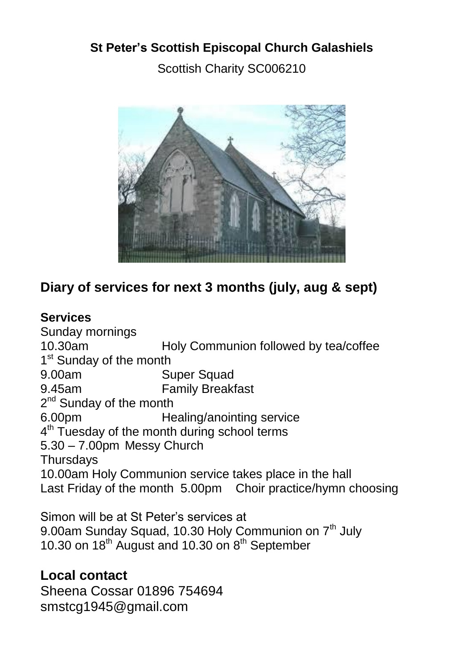## **St Peter's Scottish Episcopal Church Galashiels** Scottish Charity SC006210



## **Diary of services for next 3 months (july, aug & sept)**

#### **Services**

Sunday mornings 10.30am Holy Communion followed by tea/coffee 1<sup>st</sup> Sunday of the month 9.00am Super Squad 9.45am Family Breakfast 2<sup>nd</sup> Sunday of the month 6.00pm Healing/anointing service 4<sup>th</sup> Tuesday of the month during school terms 5.30 – 7.00pm Messy Church **Thursdays** 10.00am Holy Communion service takes place in the hall Last Friday of the month 5.00pm Choir practice/hymn choosing

Simon will be at St Peter's services at 9.00am Sunday Squad, 10.30 Holy Communion on 7<sup>th</sup> July 10.30 on 18<sup>th</sup> August and 10.30 on 8<sup>th</sup> September

#### **Local contact**

Sheena Cossar 01896 754694 smstcg1945@gmail.com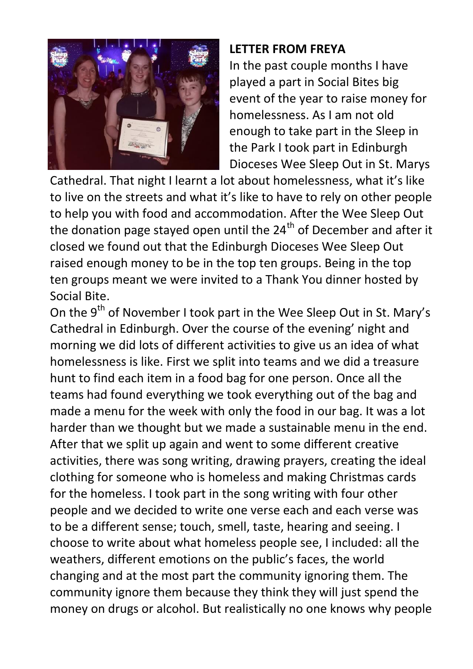

#### **LETTER FROM FREYA**

In the past couple months I have played a part in Social Bites big event of the year to raise money for homelessness. As I am not old enough to take part in the Sleep in the Park I took part in Edinburgh Dioceses Wee Sleep Out in St. Marys

Cathedral. That night I learnt a lot about homelessness, what it's like to live on the streets and what it's like to have to rely on other people to help you with food and accommodation. After the Wee Sleep Out the donation page stayed open until the  $24<sup>th</sup>$  of December and after it closed we found out that the Edinburgh Dioceses Wee Sleep Out raised enough money to be in the top ten groups. Being in the top ten groups meant we were invited to a Thank You dinner hosted by Social Bite.

On the 9<sup>th</sup> of November I took part in the Wee Sleep Out in St. Mary's Cathedral in Edinburgh. Over the course of the evening' night and morning we did lots of different activities to give us an idea of what homelessness is like. First we split into teams and we did a treasure hunt to find each item in a food bag for one person. Once all the teams had found everything we took everything out of the bag and made a menu for the week with only the food in our bag. It was a lot harder than we thought but we made a sustainable menu in the end. After that we split up again and went to some different creative activities, there was song writing, drawing prayers, creating the ideal clothing for someone who is homeless and making Christmas cards for the homeless. I took part in the song writing with four other people and we decided to write one verse each and each verse was to be a different sense; touch, smell, taste, hearing and seeing. I choose to write about what homeless people see, I included: all the weathers, different emotions on the public's faces, the world changing and at the most part the community ignoring them. The community ignore them because they think they will just spend the money on drugs or alcohol. But realistically no one knows why people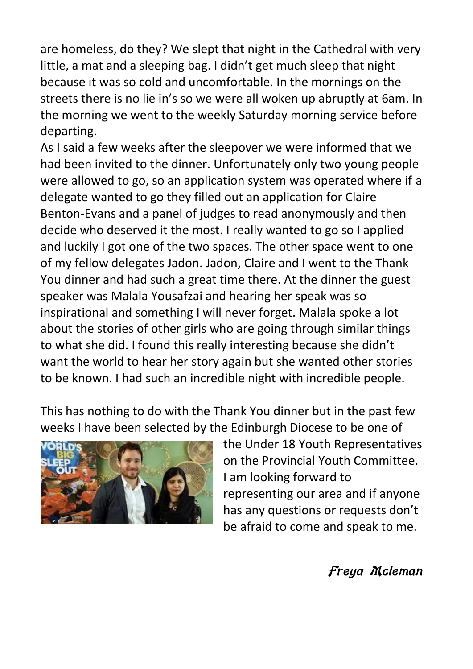are homeless, do they? We slept that night in the Cathedral with very little, a mat and a sleeping bag. I didn't get much sleep that night because it was so cold and uncomfortable. In the mornings on the streets there is no lie in's so we were all woken up abruptly at 6am. In the morning we went to the weekly Saturday morning service before departing.

As I said a few weeks after the sleepover we were informed that we had been invited to the dinner. Unfortunately only two young people were allowed to go, so an application system was operated where if a delegate wanted to go they filled out an application for Claire Benton-Evans and a panel of judges to read anonymously and then decide who deserved it the most. I really wanted to go so I applied and luckily I got one of the two spaces. The other space went to one of my fellow delegates Jadon. Jadon, Claire and I went to the Thank You dinner and had such a great time there. At the dinner the guest speaker was Malala Yousafzai and hearing her speak was so inspirational and something I will never forget. Malala spoke a lot about the stories of other girls who are going through similar things to what she did. I found this really interesting because she didn't want the world to hear her story again but she wanted other stories to be known. I had such an incredible night with incredible people.

This has nothing to do with the Thank You dinner but in the past few weeks I have been selected by the Edinburgh Diocese to be one of



the Under 18 Youth Representatives on the Provincial Youth Committee. I am looking forward to representing our area and if anyone has any questions or requests don't be afraid to come and speak to me.

#### Freya Mcleman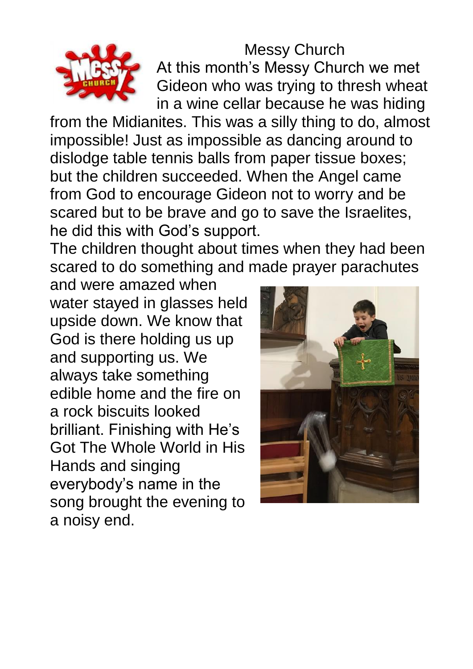

Messy Church At this month's Messy Church we met Gideon who was trying to thresh wheat in a wine cellar because he was hiding

from the Midianites. This was a silly thing to do, almost impossible! Just as impossible as dancing around to dislodge table tennis balls from paper tissue boxes; but the children succeeded. When the Angel came from God to encourage Gideon not to worry and be scared but to be brave and go to save the Israelites, he did this with God's support.

The children thought about times when they had been scared to do something and made prayer parachutes

and were amazed when water stayed in glasses held upside down. We know that God is there holding us up and supporting us. We always take something edible home and the fire on a rock biscuits looked brilliant. Finishing with He's Got The Whole World in His Hands and singing everybody's name in the song brought the evening to a noisy end.

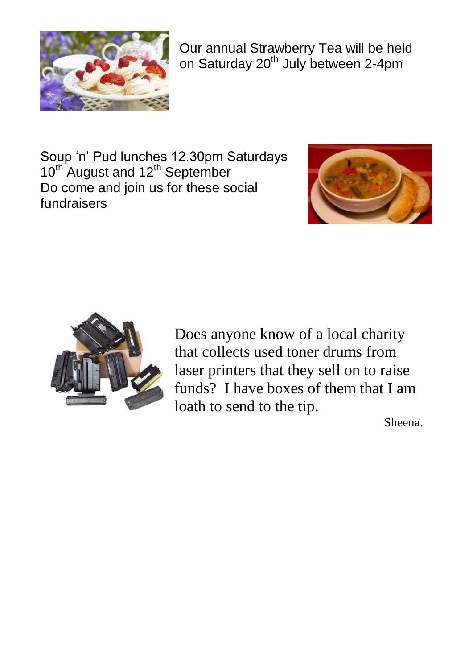

Our annual Strawberry Tea will be held on Saturday 20<sup>th</sup> July between 2-4pm

Soup 'n' Pud lunches 12.30pm Saturdays  $10^{th}$  August and  $12^{th}$  September Do come and join us for these social fundraisers





Does anyone know of a local charity that collects used toner drums from laser printers that they sell on to raise funds? I have boxes of them that I am loath to send to the tip.

Sheena.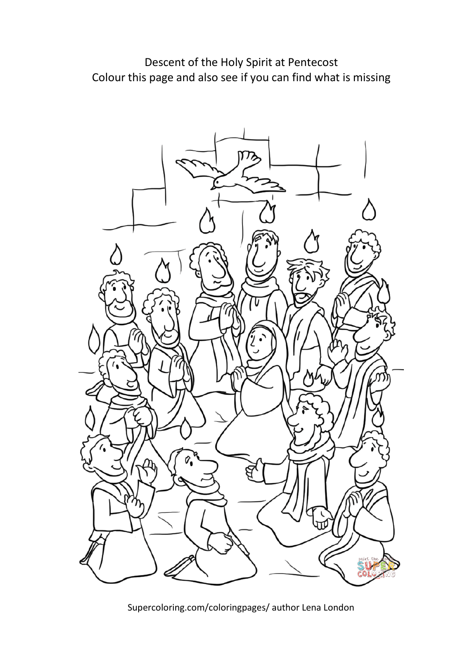Descent of the Holy Spirit at Pentecost Colour this page and also see if you can find what is missing



Supercoloring.com/coloringpages/ author Lena London